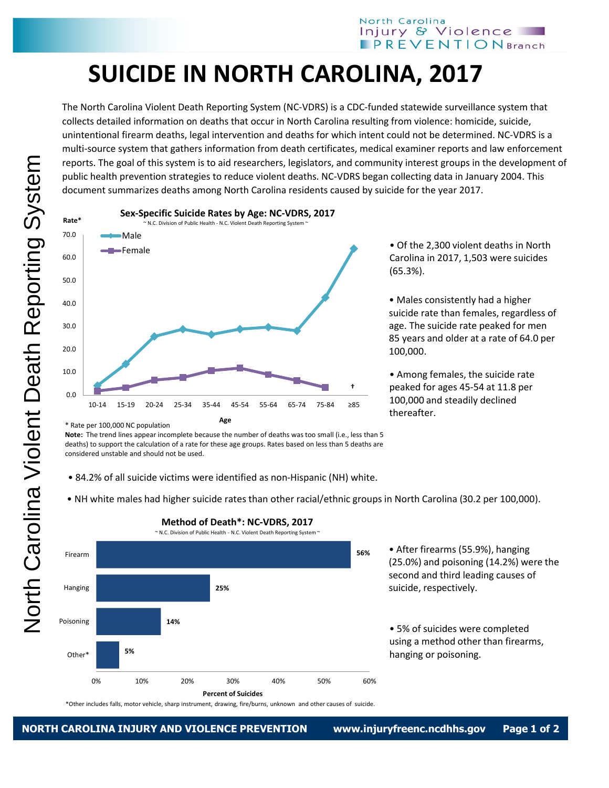## North Carolina Injury & Violence **IPREVENTION** Branch

## **SUICIDE IN NORTH CAROLINA, 2017**

The North Carolina Violent Death Reporting System (NC-VDRS) is a CDC-funded statewide surveillance system that collects detailed information on deaths that occur in North Carolina resulting from violence: homicide, suicide, unintentional firearm deaths, legal intervention and deaths for which intent could not be determined. NC-VDRS is a multi-source system that gathers information from death certificates, medical examiner reports and law enforcement reports. The goal of this system is to aid researchers, legislators, and community interest groups in the development of public health prevention strategies to reduce violent deaths. NC-VDRS began collecting data in January 2004. This document summarizes deaths among North Carolina residents caused by suicide for the year 2017.



• Of the 2,300 violent deaths in North Carolina in 2017, 1,503 were suicides (65.3%).

• Males consistently had a higher suicide rate than females, regardless of age. The suicide rate peaked for men 85 years and older at a rate of 64.0 per 100,000.

• Among females, the suicide rate peaked for ages 45-54 at 11.8 per 100,000 and steadily declined thereafter.

**Note:** The trend lines appear incomplete because the number of deaths was too small (i.e., less than 5 deaths) to support the calculation of a rate for these age groups. Rates based on less than 5 deaths are considered unstable and should not be used.

• 84.2% of all suicide victims were identified as non-Hispanic (NH) white.

• NH white males had higher suicide rates than other racial/ethnic groups in North Carolina (30.2 per 100,000).



## **Method of Death\*: NC-VDRS, 2017**

\*Other includes falls, motor vehicle, sharp instrument, drawing, fire/burns, unknown and other causes of suicide.

<sup>\*</sup> Rate per 100,000 NC population